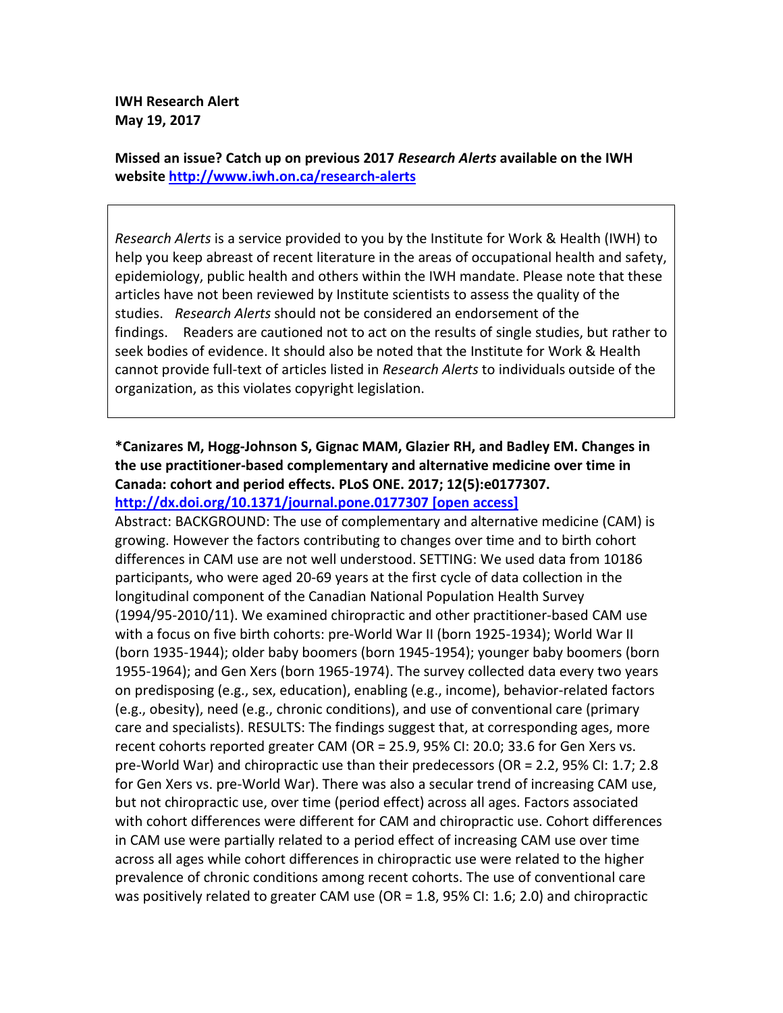**IWH Research Alert May 19, 2017** 

**Missed an issue? Catch up on previous 2017** *Research Alerts* **available on the IWH website http://www.iwh.on.ca/research-alerts**

*Research Alerts* is a service provided to you by the Institute for Work & Health (IWH) to help you keep abreast of recent literature in the areas of occupational health and safety, epidemiology, public health and others within the IWH mandate. Please note that these articles have not been reviewed by Institute scientists to assess the quality of the studies. *Research Alerts* should not be considered an endorsement of the findings. Readers are cautioned not to act on the results of single studies, but rather to seek bodies of evidence. It should also be noted that the Institute for Work & Health cannot provide full-text of articles listed in *Research Alerts* to individuals outside of the organization, as this violates copyright legislation.

## **\*Canizares M, Hogg-Johnson S, Gignac MAM, Glazier RH, and Badley EM. Changes in the use practitioner-based complementary and alternative medicine over time in Canada: cohort and period effects. PLoS ONE. 2017; 12(5):e0177307. http://dx.doi.org/10.1371/journal.pone.0177307 [open access]**

Abstract: BACKGROUND: The use of complementary and alternative medicine (CAM) is growing. However the factors contributing to changes over time and to birth cohort differences in CAM use are not well understood. SETTING: We used data from 10186 participants, who were aged 20-69 years at the first cycle of data collection in the longitudinal component of the Canadian National Population Health Survey (1994/95-2010/11). We examined chiropractic and other practitioner-based CAM use with a focus on five birth cohorts: pre-World War II (born 1925-1934); World War II (born 1935-1944); older baby boomers (born 1945-1954); younger baby boomers (born 1955-1964); and Gen Xers (born 1965-1974). The survey collected data every two years on predisposing (e.g., sex, education), enabling (e.g., income), behavior-related factors (e.g., obesity), need (e.g., chronic conditions), and use of conventional care (primary care and specialists). RESULTS: The findings suggest that, at corresponding ages, more recent cohorts reported greater CAM (OR = 25.9, 95% CI: 20.0; 33.6 for Gen Xers vs. pre-World War) and chiropractic use than their predecessors (OR = 2.2, 95% CI: 1.7; 2.8 for Gen Xers vs. pre-World War). There was also a secular trend of increasing CAM use, but not chiropractic use, over time (period effect) across all ages. Factors associated with cohort differences were different for CAM and chiropractic use. Cohort differences in CAM use were partially related to a period effect of increasing CAM use over time across all ages while cohort differences in chiropractic use were related to the higher prevalence of chronic conditions among recent cohorts. The use of conventional care was positively related to greater CAM use (OR = 1.8, 95% CI: 1.6; 2.0) and chiropractic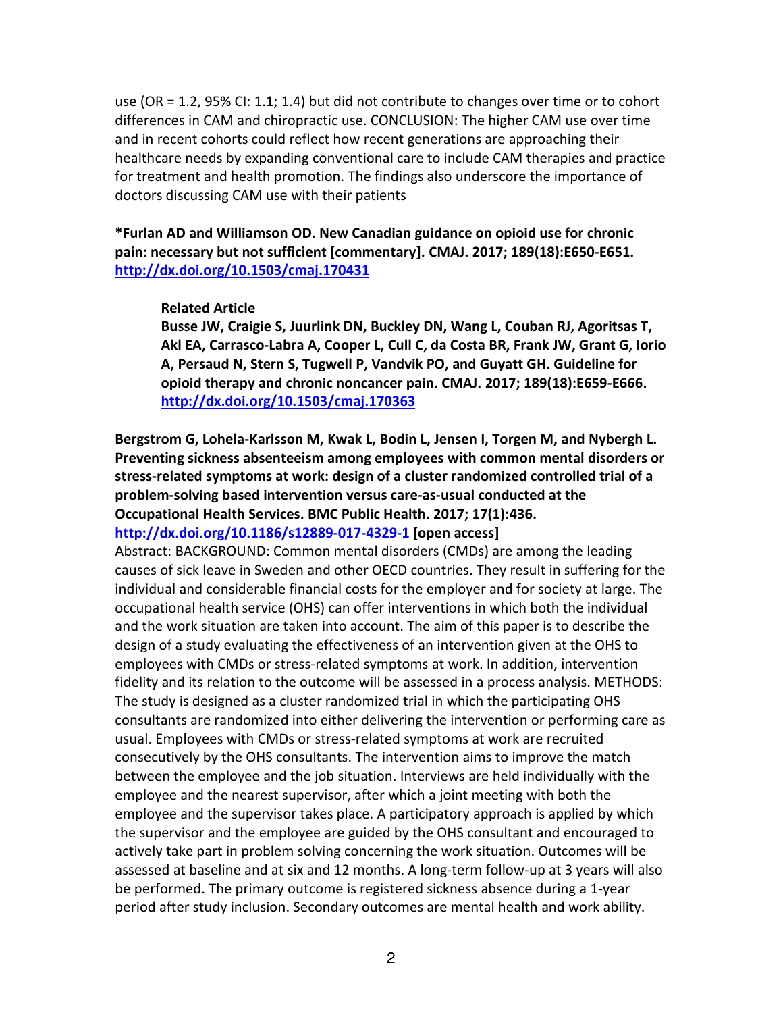use (OR = 1.2, 95% CI: 1.1; 1.4) but did not contribute to changes over time or to cohort differences in CAM and chiropractic use. CONCLUSION: The higher CAM use over time and in recent cohorts could reflect how recent generations are approaching their healthcare needs by expanding conventional care to include CAM therapies and practice for treatment and health promotion. The findings also underscore the importance of doctors discussing CAM use with their patients

**\*Furlan AD and Williamson OD. New Canadian guidance on opioid use for chronic pain: necessary but not sufficient [commentary]. CMAJ. 2017; 189(18):E650-E651. http://dx.doi.org/10.1503/cmaj.170431** 

#### **Related Article**

**Busse JW, Craigie S, Juurlink DN, Buckley DN, Wang L, Couban RJ, Agoritsas T, Akl EA, Carrasco-Labra A, Cooper L, Cull C, da Costa BR, Frank JW, Grant G, Iorio A, Persaud N, Stern S, Tugwell P, Vandvik PO, and Guyatt GH. Guideline for opioid therapy and chronic noncancer pain. CMAJ. 2017; 189(18):E659-E666. http://dx.doi.org/10.1503/cmaj.170363** 

**Bergstrom G, Lohela-Karlsson M, Kwak L, Bodin L, Jensen I, Torgen M, and Nybergh L. Preventing sickness absenteeism among employees with common mental disorders or stress-related symptoms at work: design of a cluster randomized controlled trial of a problem-solving based intervention versus care-as-usual conducted at the Occupational Health Services. BMC Public Health. 2017; 17(1):436. http://dx.doi.org/10.1186/s12889-017-4329-1 [open access]**

Abstract: BACKGROUND: Common mental disorders (CMDs) are among the leading causes of sick leave in Sweden and other OECD countries. They result in suffering for the individual and considerable financial costs for the employer and for society at large. The occupational health service (OHS) can offer interventions in which both the individual and the work situation are taken into account. The aim of this paper is to describe the design of a study evaluating the effectiveness of an intervention given at the OHS to employees with CMDs or stress-related symptoms at work. In addition, intervention fidelity and its relation to the outcome will be assessed in a process analysis. METHODS: The study is designed as a cluster randomized trial in which the participating OHS consultants are randomized into either delivering the intervention or performing care as usual. Employees with CMDs or stress-related symptoms at work are recruited consecutively by the OHS consultants. The intervention aims to improve the match between the employee and the job situation. Interviews are held individually with the employee and the nearest supervisor, after which a joint meeting with both the employee and the supervisor takes place. A participatory approach is applied by which the supervisor and the employee are guided by the OHS consultant and encouraged to actively take part in problem solving concerning the work situation. Outcomes will be assessed at baseline and at six and 12 months. A long-term follow-up at 3 years will also be performed. The primary outcome is registered sickness absence during a 1-year period after study inclusion. Secondary outcomes are mental health and work ability.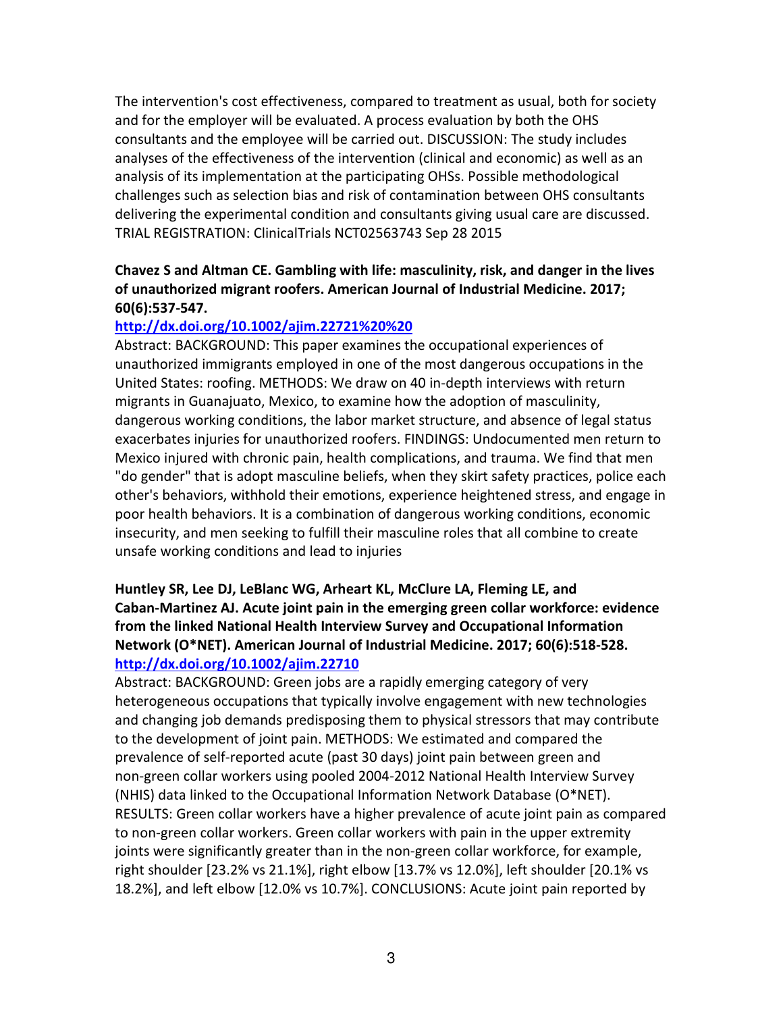The intervention's cost effectiveness, compared to treatment as usual, both for society and for the employer will be evaluated. A process evaluation by both the OHS consultants and the employee will be carried out. DISCUSSION: The study includes analyses of the effectiveness of the intervention (clinical and economic) as well as an analysis of its implementation at the participating OHSs. Possible methodological challenges such as selection bias and risk of contamination between OHS consultants delivering the experimental condition and consultants giving usual care are discussed. TRIAL REGISTRATION: ClinicalTrials NCT02563743 Sep 28 2015

## **Chavez S and Altman CE. Gambling with life: masculinity, risk, and danger in the lives of unauthorized migrant roofers. American Journal of Industrial Medicine. 2017; 60(6):537-547.**

### **http://dx.doi.org/10.1002/ajim.22721%20%20**

Abstract: BACKGROUND: This paper examines the occupational experiences of unauthorized immigrants employed in one of the most dangerous occupations in the United States: roofing. METHODS: We draw on 40 in-depth interviews with return migrants in Guanajuato, Mexico, to examine how the adoption of masculinity, dangerous working conditions, the labor market structure, and absence of legal status exacerbates injuries for unauthorized roofers. FINDINGS: Undocumented men return to Mexico injured with chronic pain, health complications, and trauma. We find that men "do gender" that is adopt masculine beliefs, when they skirt safety practices, police each other's behaviors, withhold their emotions, experience heightened stress, and engage in poor health behaviors. It is a combination of dangerous working conditions, economic insecurity, and men seeking to fulfill their masculine roles that all combine to create unsafe working conditions and lead to injuries

# **Huntley SR, Lee DJ, LeBlanc WG, Arheart KL, McClure LA, Fleming LE, and Caban-Martinez AJ. Acute joint pain in the emerging green collar workforce: evidence from the linked National Health Interview Survey and Occupational Information Network (O\*NET). American Journal of Industrial Medicine. 2017; 60(6):518-528. http://dx.doi.org/10.1002/ajim.22710**

Abstract: BACKGROUND: Green jobs are a rapidly emerging category of very heterogeneous occupations that typically involve engagement with new technologies and changing job demands predisposing them to physical stressors that may contribute to the development of joint pain. METHODS: We estimated and compared the prevalence of self-reported acute (past 30 days) joint pain between green and non-green collar workers using pooled 2004-2012 National Health Interview Survey (NHIS) data linked to the Occupational Information Network Database (O\*NET). RESULTS: Green collar workers have a higher prevalence of acute joint pain as compared to non-green collar workers. Green collar workers with pain in the upper extremity joints were significantly greater than in the non-green collar workforce, for example, right shoulder [23.2% vs 21.1%], right elbow [13.7% vs 12.0%], left shoulder [20.1% vs 18.2%], and left elbow [12.0% vs 10.7%]. CONCLUSIONS: Acute joint pain reported by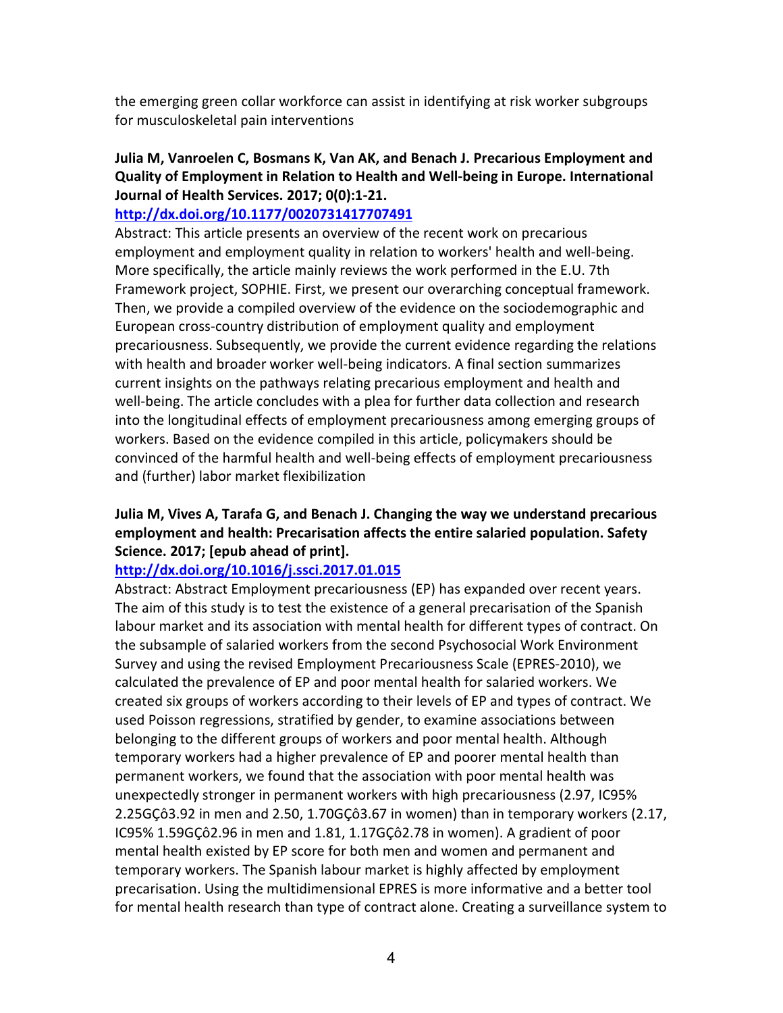the emerging green collar workforce can assist in identifying at risk worker subgroups for musculoskeletal pain interventions

## **Julia M, Vanroelen C, Bosmans K, Van AK, and Benach J. Precarious Employment and Quality of Employment in Relation to Health and Well-being in Europe. International Journal of Health Services. 2017; 0(0):1-21.**

### **http://dx.doi.org/10.1177/0020731417707491**

Abstract: This article presents an overview of the recent work on precarious employment and employment quality in relation to workers' health and well-being. More specifically, the article mainly reviews the work performed in the E.U. 7th Framework project, SOPHIE. First, we present our overarching conceptual framework. Then, we provide a compiled overview of the evidence on the sociodemographic and European cross-country distribution of employment quality and employment precariousness. Subsequently, we provide the current evidence regarding the relations with health and broader worker well-being indicators. A final section summarizes current insights on the pathways relating precarious employment and health and well-being. The article concludes with a plea for further data collection and research into the longitudinal effects of employment precariousness among emerging groups of workers. Based on the evidence compiled in this article, policymakers should be convinced of the harmful health and well-being effects of employment precariousness and (further) labor market flexibilization

## **Julia M, Vives A, Tarafa G, and Benach J. Changing the way we understand precarious employment and health: Precarisation affects the entire salaried population. Safety Science. 2017; [epub ahead of print].**

### **http://dx.doi.org/10.1016/j.ssci.2017.01.015**

Abstract: Abstract Employment precariousness (EP) has expanded over recent years. The aim of this study is to test the existence of a general precarisation of the Spanish labour market and its association with mental health for different types of contract. On the subsample of salaried workers from the second Psychosocial Work Environment Survey and using the revised Employment Precariousness Scale (EPRES-2010), we calculated the prevalence of EP and poor mental health for salaried workers. We created six groups of workers according to their levels of EP and types of contract. We used Poisson regressions, stratified by gender, to examine associations between belonging to the different groups of workers and poor mental health. Although temporary workers had a higher prevalence of EP and poorer mental health than permanent workers, we found that the association with poor mental health was unexpectedly stronger in permanent workers with high precariousness (2.97, IC95% 2.25GÇô3.92 in men and 2.50, 1.70GÇô3.67 in women) than in temporary workers (2.17, IC95% 1.59GÇô2.96 in men and 1.81, 1.17GÇô2.78 in women). A gradient of poor mental health existed by EP score for both men and women and permanent and temporary workers. The Spanish labour market is highly affected by employment precarisation. Using the multidimensional EPRES is more informative and a better tool for mental health research than type of contract alone. Creating a surveillance system to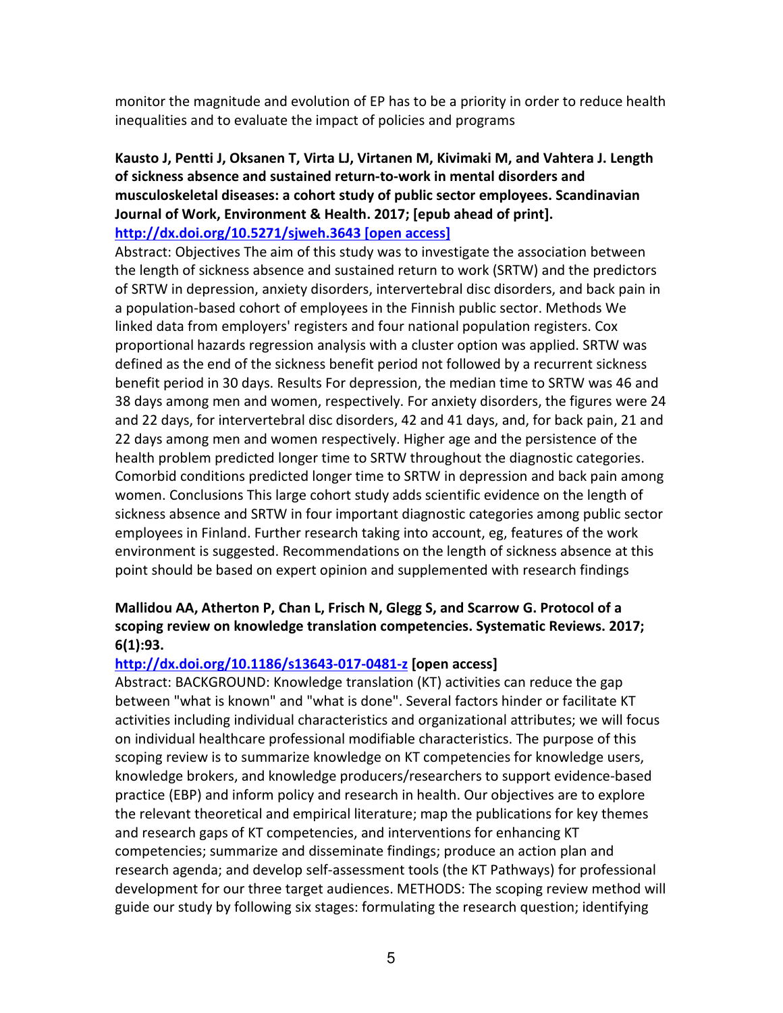monitor the magnitude and evolution of EP has to be a priority in order to reduce health inequalities and to evaluate the impact of policies and programs

## **Kausto J, Pentti J, Oksanen T, Virta LJ, Virtanen M, Kivimaki M, and Vahtera J. Length of sickness absence and sustained return-to-work in mental disorders and musculoskeletal diseases: a cohort study of public sector employees. Scandinavian Journal of Work, Environment & Health. 2017; [epub ahead of print]. http://dx.doi.org/10.5271/sjweh.3643 [open access]**

Abstract: Objectives The aim of this study was to investigate the association between the length of sickness absence and sustained return to work (SRTW) and the predictors of SRTW in depression, anxiety disorders, intervertebral disc disorders, and back pain in a population-based cohort of employees in the Finnish public sector. Methods We linked data from employers' registers and four national population registers. Cox proportional hazards regression analysis with a cluster option was applied. SRTW was defined as the end of the sickness benefit period not followed by a recurrent sickness benefit period in 30 days. Results For depression, the median time to SRTW was 46 and 38 days among men and women, respectively. For anxiety disorders, the figures were 24 and 22 days, for intervertebral disc disorders, 42 and 41 days, and, for back pain, 21 and 22 days among men and women respectively. Higher age and the persistence of the health problem predicted longer time to SRTW throughout the diagnostic categories. Comorbid conditions predicted longer time to SRTW in depression and back pain among women. Conclusions This large cohort study adds scientific evidence on the length of sickness absence and SRTW in four important diagnostic categories among public sector employees in Finland. Further research taking into account, eg, features of the work environment is suggested. Recommendations on the length of sickness absence at this point should be based on expert opinion and supplemented with research findings

# **Mallidou AA, Atherton P, Chan L, Frisch N, Glegg S, and Scarrow G. Protocol of a scoping review on knowledge translation competencies. Systematic Reviews. 2017; 6(1):93.**

## **http://dx.doi.org/10.1186/s13643-017-0481-z [open access]**

Abstract: BACKGROUND: Knowledge translation (KT) activities can reduce the gap between "what is known" and "what is done". Several factors hinder or facilitate KT activities including individual characteristics and organizational attributes; we will focus on individual healthcare professional modifiable characteristics. The purpose of this scoping review is to summarize knowledge on KT competencies for knowledge users, knowledge brokers, and knowledge producers/researchers to support evidence-based practice (EBP) and inform policy and research in health. Our objectives are to explore the relevant theoretical and empirical literature; map the publications for key themes and research gaps of KT competencies, and interventions for enhancing KT competencies; summarize and disseminate findings; produce an action plan and research agenda; and develop self-assessment tools (the KT Pathways) for professional development for our three target audiences. METHODS: The scoping review method will guide our study by following six stages: formulating the research question; identifying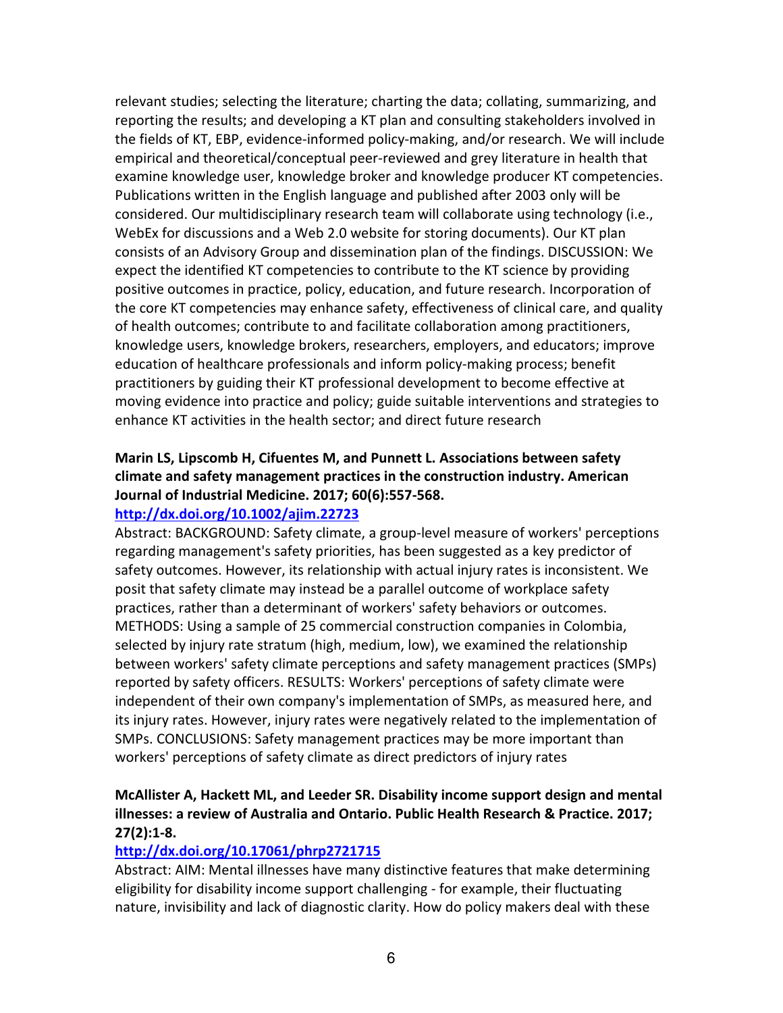relevant studies; selecting the literature; charting the data; collating, summarizing, and reporting the results; and developing a KT plan and consulting stakeholders involved in the fields of KT, EBP, evidence-informed policy-making, and/or research. We will include empirical and theoretical/conceptual peer-reviewed and grey literature in health that examine knowledge user, knowledge broker and knowledge producer KT competencies. Publications written in the English language and published after 2003 only will be considered. Our multidisciplinary research team will collaborate using technology (i.e., WebEx for discussions and a Web 2.0 website for storing documents). Our KT plan consists of an Advisory Group and dissemination plan of the findings. DISCUSSION: We expect the identified KT competencies to contribute to the KT science by providing positive outcomes in practice, policy, education, and future research. Incorporation of the core KT competencies may enhance safety, effectiveness of clinical care, and quality of health outcomes; contribute to and facilitate collaboration among practitioners, knowledge users, knowledge brokers, researchers, employers, and educators; improve education of healthcare professionals and inform policy-making process; benefit practitioners by guiding their KT professional development to become effective at moving evidence into practice and policy; guide suitable interventions and strategies to enhance KT activities in the health sector; and direct future research

# **Marin LS, Lipscomb H, Cifuentes M, and Punnett L. Associations between safety climate and safety management practices in the construction industry. American Journal of Industrial Medicine. 2017; 60(6):557-568.**

### **http://dx.doi.org/10.1002/ajim.22723**

Abstract: BACKGROUND: Safety climate, a group-level measure of workers' perceptions regarding management's safety priorities, has been suggested as a key predictor of safety outcomes. However, its relationship with actual injury rates is inconsistent. We posit that safety climate may instead be a parallel outcome of workplace safety practices, rather than a determinant of workers' safety behaviors or outcomes. METHODS: Using a sample of 25 commercial construction companies in Colombia, selected by injury rate stratum (high, medium, low), we examined the relationship between workers' safety climate perceptions and safety management practices (SMPs) reported by safety officers. RESULTS: Workers' perceptions of safety climate were independent of their own company's implementation of SMPs, as measured here, and its injury rates. However, injury rates were negatively related to the implementation of SMPs. CONCLUSIONS: Safety management practices may be more important than workers' perceptions of safety climate as direct predictors of injury rates

## **McAllister A, Hackett ML, and Leeder SR. Disability income support design and mental illnesses: a review of Australia and Ontario. Public Health Research & Practice. 2017; 27(2):1-8.**

### **http://dx.doi.org/10.17061/phrp2721715**

Abstract: AIM: Mental illnesses have many distinctive features that make determining eligibility for disability income support challenging - for example, their fluctuating nature, invisibility and lack of diagnostic clarity. How do policy makers deal with these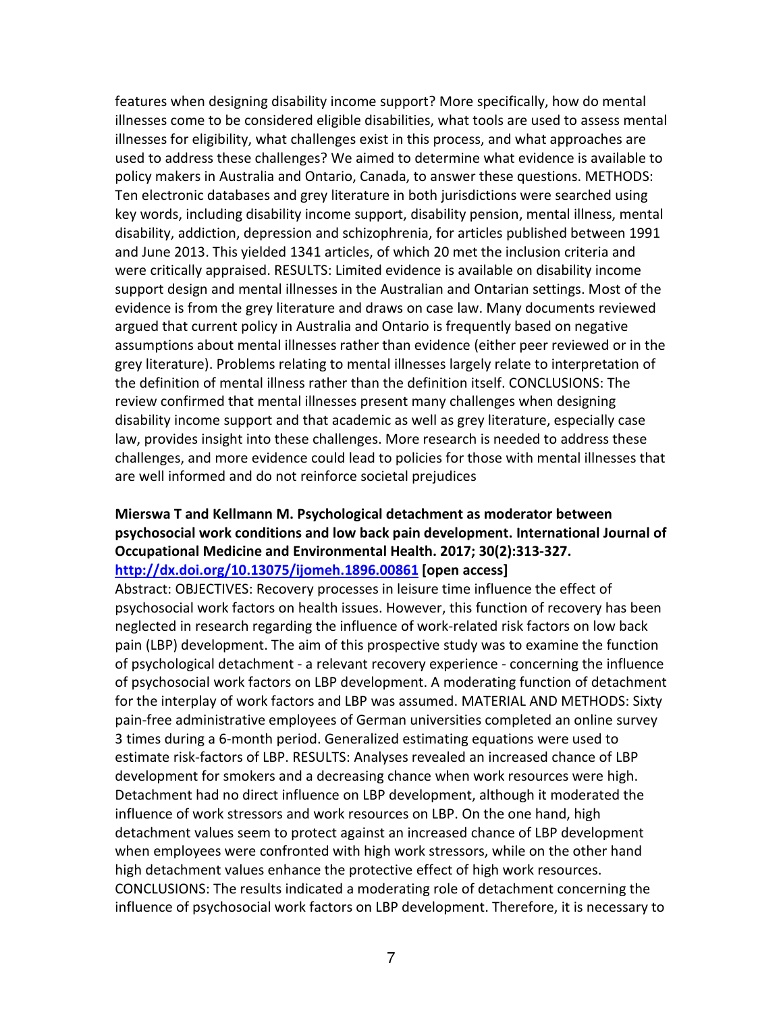features when designing disability income support? More specifically, how do mental illnesses come to be considered eligible disabilities, what tools are used to assess mental illnesses for eligibility, what challenges exist in this process, and what approaches are used to address these challenges? We aimed to determine what evidence is available to policy makers in Australia and Ontario, Canada, to answer these questions. METHODS: Ten electronic databases and grey literature in both jurisdictions were searched using key words, including disability income support, disability pension, mental illness, mental disability, addiction, depression and schizophrenia, for articles published between 1991 and June 2013. This yielded 1341 articles, of which 20 met the inclusion criteria and were critically appraised. RESULTS: Limited evidence is available on disability income support design and mental illnesses in the Australian and Ontarian settings. Most of the evidence is from the grey literature and draws on case law. Many documents reviewed argued that current policy in Australia and Ontario is frequently based on negative assumptions about mental illnesses rather than evidence (either peer reviewed or in the grey literature). Problems relating to mental illnesses largely relate to interpretation of the definition of mental illness rather than the definition itself. CONCLUSIONS: The review confirmed that mental illnesses present many challenges when designing disability income support and that academic as well as grey literature, especially case law, provides insight into these challenges. More research is needed to address these challenges, and more evidence could lead to policies for those with mental illnesses that are well informed and do not reinforce societal prejudices

## **Mierswa T and Kellmann M. Psychological detachment as moderator between psychosocial work conditions and low back pain development. International Journal of Occupational Medicine and Environmental Health. 2017; 30(2):313-327. http://dx.doi.org/10.13075/ijomeh.1896.00861 [open access]**

Abstract: OBJECTIVES: Recovery processes in leisure time influence the effect of psychosocial work factors on health issues. However, this function of recovery has been neglected in research regarding the influence of work-related risk factors on low back pain (LBP) development. The aim of this prospective study was to examine the function of psychological detachment - a relevant recovery experience - concerning the influence of psychosocial work factors on LBP development. A moderating function of detachment for the interplay of work factors and LBP was assumed. MATERIAL AND METHODS: Sixty pain-free administrative employees of German universities completed an online survey 3 times during a 6-month period. Generalized estimating equations were used to estimate risk-factors of LBP. RESULTS: Analyses revealed an increased chance of LBP development for smokers and a decreasing chance when work resources were high. Detachment had no direct influence on LBP development, although it moderated the influence of work stressors and work resources on LBP. On the one hand, high detachment values seem to protect against an increased chance of LBP development when employees were confronted with high work stressors, while on the other hand high detachment values enhance the protective effect of high work resources. CONCLUSIONS: The results indicated a moderating role of detachment concerning the influence of psychosocial work factors on LBP development. Therefore, it is necessary to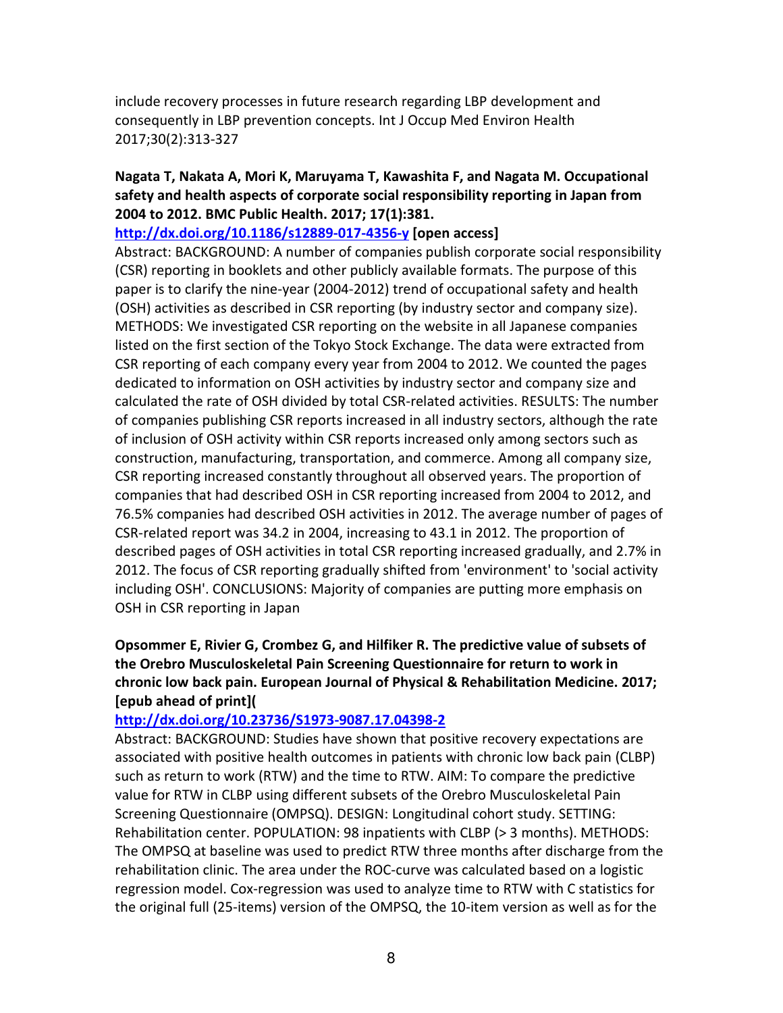include recovery processes in future research regarding LBP development and consequently in LBP prevention concepts. Int J Occup Med Environ Health 2017;30(2):313-327

## **Nagata T, Nakata A, Mori K, Maruyama T, Kawashita F, and Nagata M. Occupational safety and health aspects of corporate social responsibility reporting in Japan from 2004 to 2012. BMC Public Health. 2017; 17(1):381.**

### **http://dx.doi.org/10.1186/s12889-017-4356-y [open access]**

Abstract: BACKGROUND: A number of companies publish corporate social responsibility (CSR) reporting in booklets and other publicly available formats. The purpose of this paper is to clarify the nine-year (2004-2012) trend of occupational safety and health (OSH) activities as described in CSR reporting (by industry sector and company size). METHODS: We investigated CSR reporting on the website in all Japanese companies listed on the first section of the Tokyo Stock Exchange. The data were extracted from CSR reporting of each company every year from 2004 to 2012. We counted the pages dedicated to information on OSH activities by industry sector and company size and calculated the rate of OSH divided by total CSR-related activities. RESULTS: The number of companies publishing CSR reports increased in all industry sectors, although the rate of inclusion of OSH activity within CSR reports increased only among sectors such as construction, manufacturing, transportation, and commerce. Among all company size, CSR reporting increased constantly throughout all observed years. The proportion of companies that had described OSH in CSR reporting increased from 2004 to 2012, and 76.5% companies had described OSH activities in 2012. The average number of pages of CSR-related report was 34.2 in 2004, increasing to 43.1 in 2012. The proportion of described pages of OSH activities in total CSR reporting increased gradually, and 2.7% in 2012. The focus of CSR reporting gradually shifted from 'environment' to 'social activity including OSH'. CONCLUSIONS: Majority of companies are putting more emphasis on OSH in CSR reporting in Japan

**Opsommer E, Rivier G, Crombez G, and Hilfiker R. The predictive value of subsets of the Orebro Musculoskeletal Pain Screening Questionnaire for return to work in chronic low back pain. European Journal of Physical & Rehabilitation Medicine. 2017; [epub ahead of print](** 

### **http://dx.doi.org/10.23736/S1973-9087.17.04398-2**

Abstract: BACKGROUND: Studies have shown that positive recovery expectations are associated with positive health outcomes in patients with chronic low back pain (CLBP) such as return to work (RTW) and the time to RTW. AIM: To compare the predictive value for RTW in CLBP using different subsets of the Orebro Musculoskeletal Pain Screening Questionnaire (OMPSQ). DESIGN: Longitudinal cohort study. SETTING: Rehabilitation center. POPULATION: 98 inpatients with CLBP (> 3 months). METHODS: The OMPSQ at baseline was used to predict RTW three months after discharge from the rehabilitation clinic. The area under the ROC-curve was calculated based on a logistic regression model. Cox-regression was used to analyze time to RTW with C statistics for the original full (25-items) version of the OMPSQ, the 10-item version as well as for the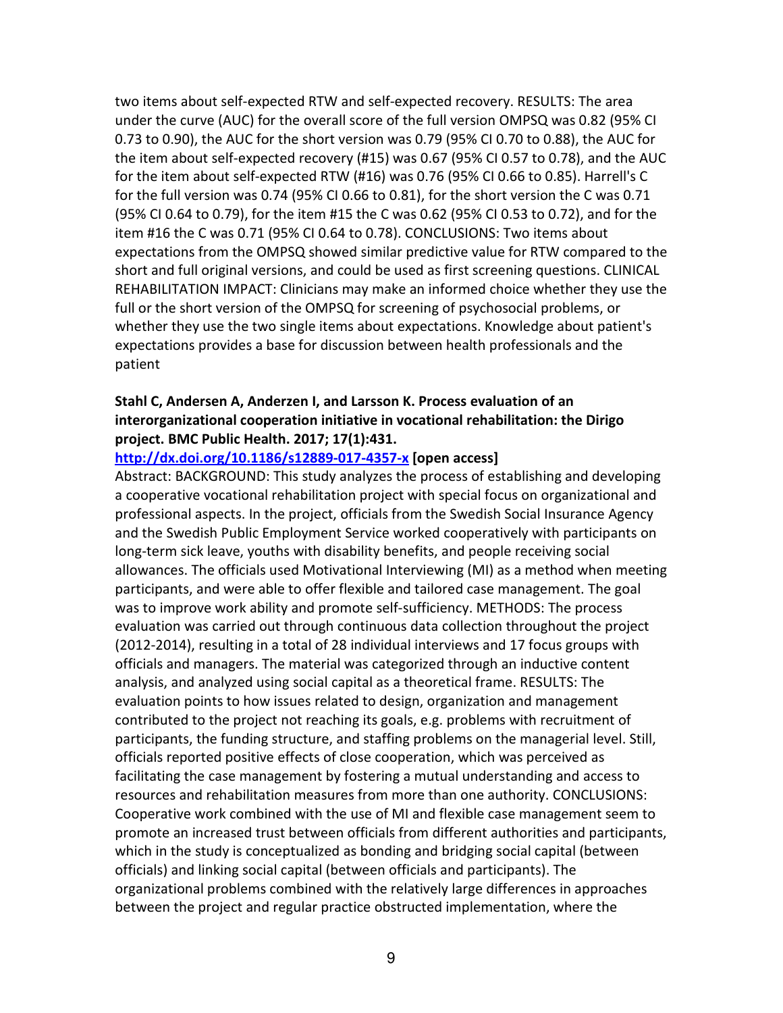two items about self-expected RTW and self-expected recovery. RESULTS: The area under the curve (AUC) for the overall score of the full version OMPSQ was 0.82 (95% CI 0.73 to 0.90), the AUC for the short version was 0.79 (95% CI 0.70 to 0.88), the AUC for the item about self-expected recovery (#15) was 0.67 (95% CI 0.57 to 0.78), and the AUC for the item about self-expected RTW (#16) was 0.76 (95% CI 0.66 to 0.85). Harrell's C for the full version was 0.74 (95% CI 0.66 to 0.81), for the short version the C was 0.71 (95% CI 0.64 to 0.79), for the item #15 the C was 0.62 (95% CI 0.53 to 0.72), and for the item #16 the C was 0.71 (95% CI 0.64 to 0.78). CONCLUSIONS: Two items about expectations from the OMPSQ showed similar predictive value for RTW compared to the short and full original versions, and could be used as first screening questions. CLINICAL REHABILITATION IMPACT: Clinicians may make an informed choice whether they use the full or the short version of the OMPSQ for screening of psychosocial problems, or whether they use the two single items about expectations. Knowledge about patient's expectations provides a base for discussion between health professionals and the patient

# **Stahl C, Andersen A, Anderzen I, and Larsson K. Process evaluation of an interorganizational cooperation initiative in vocational rehabilitation: the Dirigo project. BMC Public Health. 2017; 17(1):431.**

#### **http://dx.doi.org/10.1186/s12889-017-4357-x [open access]**

Abstract: BACKGROUND: This study analyzes the process of establishing and developing a cooperative vocational rehabilitation project with special focus on organizational and professional aspects. In the project, officials from the Swedish Social Insurance Agency and the Swedish Public Employment Service worked cooperatively with participants on long-term sick leave, youths with disability benefits, and people receiving social allowances. The officials used Motivational Interviewing (MI) as a method when meeting participants, and were able to offer flexible and tailored case management. The goal was to improve work ability and promote self-sufficiency. METHODS: The process evaluation was carried out through continuous data collection throughout the project (2012-2014), resulting in a total of 28 individual interviews and 17 focus groups with officials and managers. The material was categorized through an inductive content analysis, and analyzed using social capital as a theoretical frame. RESULTS: The evaluation points to how issues related to design, organization and management contributed to the project not reaching its goals, e.g. problems with recruitment of participants, the funding structure, and staffing problems on the managerial level. Still, officials reported positive effects of close cooperation, which was perceived as facilitating the case management by fostering a mutual understanding and access to resources and rehabilitation measures from more than one authority. CONCLUSIONS: Cooperative work combined with the use of MI and flexible case management seem to promote an increased trust between officials from different authorities and participants, which in the study is conceptualized as bonding and bridging social capital (between officials) and linking social capital (between officials and participants). The organizational problems combined with the relatively large differences in approaches between the project and regular practice obstructed implementation, where the